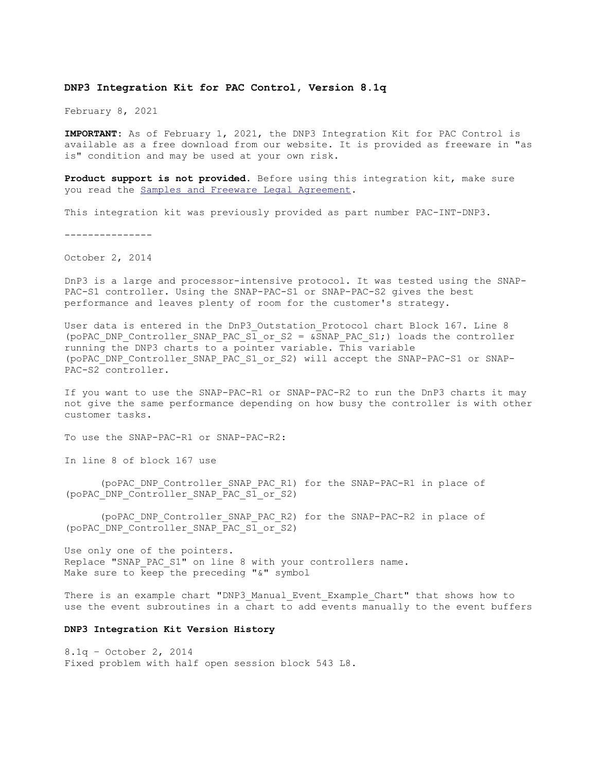## **DNP3 Integration Kit for PAC Control, Version 8.1q**

February 8, 2021

**IMPORTANT:** As of February 1, 2021, the DNP3 Integration Kit for PAC Control is available as a free download from our website. It is provided as freeware in "as is" condition and may be used at your own risk.

**Product support is not provided**. Before using this integration kit, make sure you read the **Samples and Freeware Legal Agreement**.

This integration kit was previously provided as part number PAC-INT-DNP3.

---------------

October 2, 2014

DnP3 is a large and processor-intensive protocol. It was tested using the SNAP-PAC-S1 controller. Using the SNAP-PAC-S1 or SNAP-PAC-S2 gives the best performance and leaves plenty of room for the customer's strategy.

User data is entered in the DnP3 Outstation Protocol chart Block 167. Line 8 (poPAC\_DNP\_Controller\_SNAP\_PAC\_S1\_or\_S2 = &SNAP\_PAC\_S1;) loads the controller running the DNP3 charts to a pointer variable. This variable (poPAC\_DNP\_Controller\_SNAP\_PAC\_S1\_or\_S2) will accept the SNAP-PAC-S1 or SNAP-PAC-S2 controller.

If you want to use the SNAP-PAC-R1 or SNAP-PAC-R2 to run the DnP3 charts it may not give the same performance depending on how busy the controller is with other customer tasks.

To use the SNAP-PAC-R1 or SNAP-PAC-R2:

In line 8 of block 167 use

(poPAC\_DNP\_Controller\_SNAP\_PAC\_R1) for the SNAP-PAC-R1 in place of (poPAC\_DNP\_Controller\_SNAP\_PAC\_S1\_or\_S2)

(poPAC\_DNP\_Controller\_SNAP\_PAC\_R2) for the SNAP-PAC-R2 in place of (poPAC\_DNP\_Controller\_SNAP\_PAC\_S1\_or\_S2)

Use only one of the pointers. Replace "SNAP PAC S1" on line 8 with your controllers name. Make sure to  $\overline{k}$ eep the preceding " $\&$ " symbol

There is an example chart "DNP3 Manual Event Example Chart" that shows how to use the event subroutines in a chart to add events manually to the event buffers

## **DNP3 Integration Kit Version History**

8.1q – October 2, 2014 Fixed problem with half open session block 543 L8.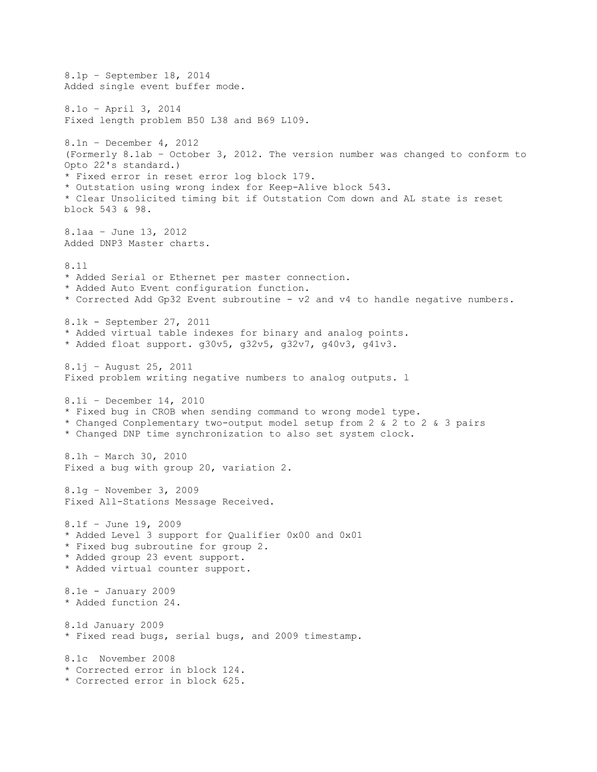8.1p – September 18, 2014 Added single event buffer mode. 8.1o – April 3, 2014 Fixed length problem B50 L38 and B69 L109. 8.1n – December 4, 2012 (Formerly 8.1ab – October 3, 2012. The version number was changed to conform to Opto 22's standard.) \* Fixed error in reset error log block 179. \* Outstation using wrong index for Keep-Alive block 543. \* Clear Unsolicited timing bit if Outstation Com down and AL state is reset block 543 & 98. 8.1aa – June 13, 2012 Added DNP3 Master charts. 8.1l \* Added Serial or Ethernet per master connection. \* Added Auto Event configuration function. \* Corrected Add Gp32 Event subroutine - v2 and v4 to handle negative numbers. 8.1k - September 27, 2011 \* Added virtual table indexes for binary and analog points. \* Added float support. g30v5, g32v5, g32v7, g40v3, g41v3. 8.1j – August 25, 2011 Fixed problem writing negative numbers to analog outputs. l 8.1i – December 14, 2010 \* Fixed bug in CROB when sending command to wrong model type. \* Changed Conplementary two-output model setup from 2 & 2 to 2 & 3 pairs \* Changed DNP time synchronization to also set system clock. 8.1h – March 30, 2010 Fixed a bug with group 20, variation 2. 8.1g – November 3, 2009 Fixed All-Stations Message Received. 8.1f – June 19, 2009 \* Added Level 3 support for Qualifier 0x00 and 0x01 \* Fixed bug subroutine for group 2. \* Added group 23 event support. \* Added virtual counter support. 8.1e - January 2009 \* Added function 24. 8.1d January 2009 \* Fixed read bugs, serial bugs, and 2009 timestamp. 8.1c November 2008 \* Corrected error in block 124. \* Corrected error in block 625.